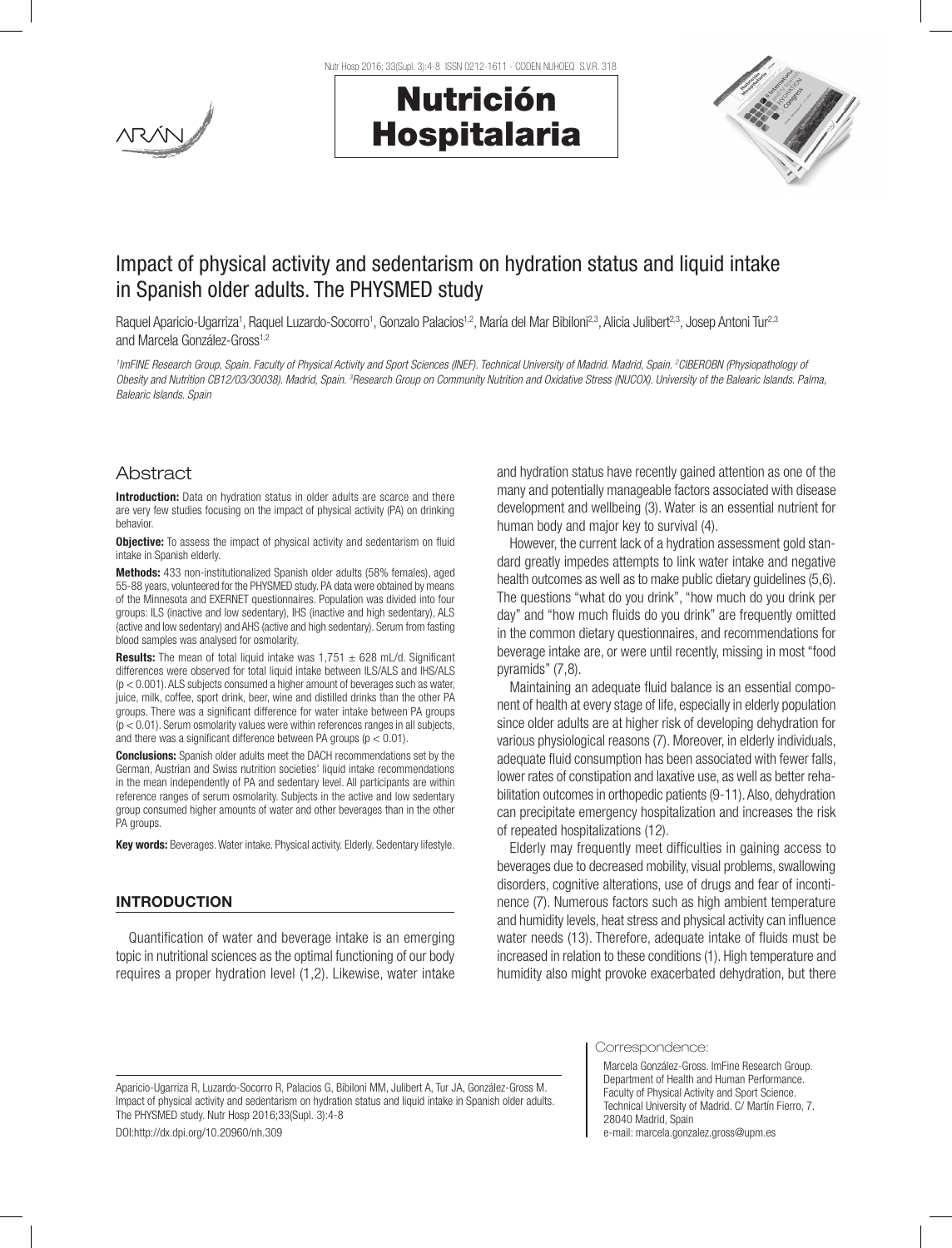

Nutr Hosp 2016; 33(Supl. 3):4-8 ISSN 0212-1611 - CODEN NUHOEQ S.V.R. 318





# Impact of physical activity and sedentarism on hydration status and liquid intake in Spanish older adults. The PHYSMED study

Raquel Aparicio-Ugarriza<sup>1</sup>, Raquel Luzardo-Socorro<sup>1</sup>, Gonzalo Palacios<sup>1,2</sup>, María del Mar Bibiloni<sup>2,3</sup>, Alicia Julibert<sup>2,3</sup>, Josep Antoni Tur<sup>2,3</sup> and Marcela González-Gross<sup>1,2</sup>

*1 ImFINE Research Group, Spain. Faculty of Physical Activity and Sport Sciences (INEF). Technical University of Madrid. Madrid, Spain. 2 CIBEROBN (Physiopathology of*  Obesity and Nutrition CB12/03/30038). Madrid, Spain. <sup>3</sup>Research Group on Community Nutrition and Oxidative Stress (NUCOX). University of the Balearic Islands. Palma, *Balearic Islands. Spain*

# Abstract

Introduction: Data on hydration status in older adults are scarce and there are very few studies focusing on the impact of physical activity (PA) on drinking behavior.

Objective: To assess the impact of physical activity and sedentarism on fluid intake in Spanish elderly.

Methods: 433 non-institutionalized Spanish older adults (58% females), aged 55-88 years, volunteered for the PHYSMED study. PA data were obtained by means of the Minnesota and EXERNET questionnaires. Population was divided into four groups: ILS (inactive and low sedentary), IHS (inactive and high sedentary), ALS (active and low sedentary) and AHS (active and high sedentary). Serum from fasting blood samples was analysed for osmolarity.

**Results:** The mean of total liquid intake was  $1.751 \pm 628$  mL/d. Significant differences were observed for total liquid intake between ILS/ALS and IHS/ALS  $(p < 0.001)$ . ALS subjects consumed a higher amount of beverages such as water, juice, milk, coffee, sport drink, beer, wine and distilled drinks than the other PA groups. There was a significant difference for water intake between PA groups  $(p < 0.01)$ . Serum osmolarity values were within references ranges in all subjects, and there was a significant difference between PA groups ( $p < 0.01$ ).

Conclusions: Spanish older adults meet the DACH recommendations set by the German, Austrian and Swiss nutrition societies' liquid intake recommendations in the mean independently of PA and sedentary level. All participants are within reference ranges of serum osmolarity. Subjects in the active and low sedentary group consumed higher amounts of water and other beverages than in the other PA groups.

Key words: Beverages. Water intake. Physical activity. Elderly. Sedentary lifestyle.

## INTRODUCTION

Quantification of water and beverage intake is an emerging topic in nutritional sciences as the optimal functioning of our body requires a proper hydration level (1,2). Likewise, water intake and hydration status have recently gained attention as one of the many and potentially manageable factors associated with disease development and wellbeing (3). Water is an essential nutrient for human body and major key to survival (4).

However, the current lack of a hydration assessment gold standard greatly impedes attempts to link water intake and negative health outcomes as well as to make public dietary guidelines (5,6). The questions "what do you drink", "how much do you drink per day" and "how much fluids do you drink" are frequently omitted in the common dietary questionnaires, and recommendations for beverage intake are, or were until recently, missing in most "food pyramids" (7,8).

Maintaining an adequate fluid balance is an essential component of health at every stage of life, especially in elderly population since older adults are at higher risk of developing dehydration for various physiological reasons (7). Moreover, in elderly individuals, adequate fluid consumption has been associated with fewer falls, lower rates of constipation and laxative use, as well as better rehabilitation outcomes in orthopedic patients (9-11). Also, dehydration can precipitate emergency hospitalization and increases the risk of repeated hospitalizations (12).

Elderly may frequently meet difficulties in gaining access to beverages due to decreased mobility, visual problems, swallowing disorders, cognitive alterations, use of drugs and fear of incontinence (7). Numerous factors such as high ambient temperature and humidity levels, heat stress and physical activity can influence water needs (13). Therefore, adequate intake of fluids must be increased in relation to these conditions (1). High temperature and humidity also might provoke exacerbated dehydration, but there

Aparicio-Ugarriza R, Luzardo-Socorro R, Palacios G, Bibiloni MM, Julibert A, Tur JA, González-Gross M. Impact of physical activity and sedentarism on hydration status and liquid intake in Spanish older adults. The PHYSMED study. Nutr Hosp 2016;33(Supl. 3):4-8

DOI:http://dx.dpi.org/10.20960/nh.309

Correspondence:

Marcela González-Gross. ImFine Research Group. Department of Health and Human Performance. Faculty of Physical Activity and Sport Science. Technical University of Madrid. C/ Martín Fierro, 7. 28040 Madrid, Spain e-mail: marcela.gonzalez.gross@upm.es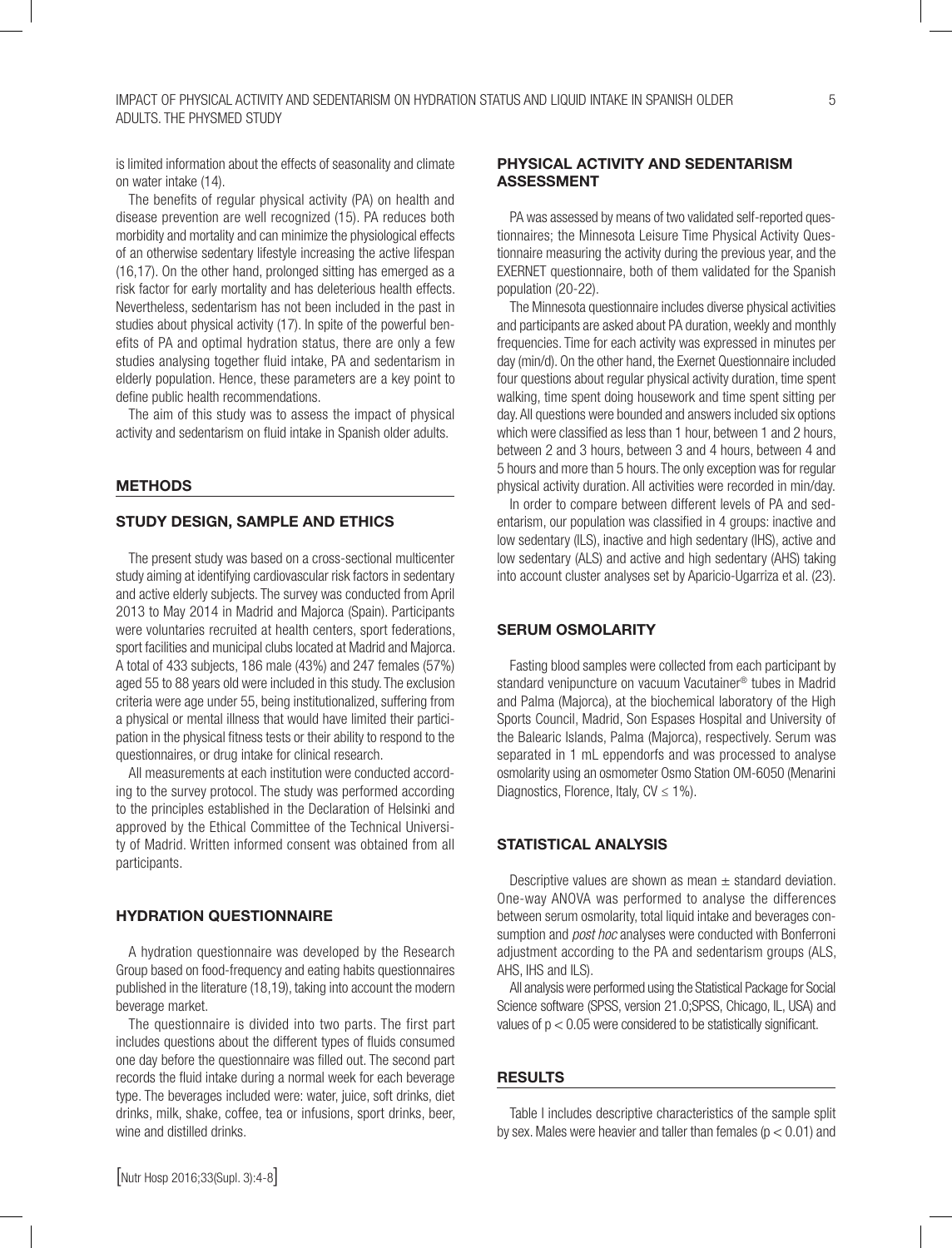is limited information about the effects of seasonality and climate on water intake (14).

The benefits of regular physical activity (PA) on health and disease prevention are well recognized (15). PA reduces both morbidity and mortality and can minimize the physiological effects of an otherwise sedentary lifestyle increasing the active lifespan (16,17). On the other hand, prolonged sitting has emerged as a risk factor for early mortality and has deleterious health effects. Nevertheless, sedentarism has not been included in the past in studies about physical activity (17). In spite of the powerful benefits of PA and optimal hydration status, there are only a few studies analysing together fluid intake, PA and sedentarism in elderly population. Hence, these parameters are a key point to define public health recommendations.

The aim of this study was to assess the impact of physical activity and sedentarism on fluid intake in Spanish older adults.

#### **METHODS**

# STUDY DESIGN, SAMPLE AND ETHICS

The present study was based on a cross-sectional multicenter study aiming at identifying cardiovascular risk factors in sedentary and active elderly subjects. The survey was conducted from April 2013 to May 2014 in Madrid and Majorca (Spain). Participants were voluntaries recruited at health centers, sport federations, sport facilities and municipal clubs located at Madrid and Majorca. A total of 433 subjects, 186 male (43%) and 247 females (57%) aged 55 to 88 years old were included in this study. The exclusion criteria were age under 55, being institutionalized, suffering from a physical or mental illness that would have limited their participation in the physical fitness tests or their ability to respond to the questionnaires, or drug intake for clinical research.

All measurements at each institution were conducted according to the survey protocol. The study was performed according to the principles established in the Declaration of Helsinki and approved by the Ethical Committee of the Technical University of Madrid. Written informed consent was obtained from all participants.

#### HYDRATION QUESTIONNAIRE

A hydration questionnaire was developed by the Research Group based on food-frequency and eating habits questionnaires published in the literature (18,19), taking into account the modern beverage market.

The questionnaire is divided into two parts. The first part includes questions about the different types of fluids consumed one day before the questionnaire was filled out. The second part records the fluid intake during a normal week for each beverage type. The beverages included were: water, juice, soft drinks, diet drinks, milk, shake, coffee, tea or infusions, sport drinks, beer, wine and distilled drinks.

# PHYSICAL ACTIVITY AND SEDENTARISM ASSESSMENT

PA was assessed by means of two validated self-reported questionnaires; the Minnesota Leisure Time Physical Activity Questionnaire measuring the activity during the previous year, and the EXERNET questionnaire, both of them validated for the Spanish population (20-22).

The Minnesota questionnaire includes diverse physical activities and participants are asked about PA duration, weekly and monthly frequencies. Time for each activity was expressed in minutes per day (min/d). On the other hand, the Exernet Questionnaire included four questions about regular physical activity duration, time spent walking, time spent doing housework and time spent sitting per day. All questions were bounded and answers included six options which were classified as less than 1 hour, between 1 and 2 hours, between 2 and 3 hours, between 3 and 4 hours, between 4 and 5 hours and more than 5 hours. The only exception was for regular physical activity duration. All activities were recorded in min/day.

In order to compare between different levels of PA and sedentarism, our population was classified in 4 groups: inactive and low sedentary (ILS), inactive and high sedentary (IHS), active and low sedentary (ALS) and active and high sedentary (AHS) taking into account cluster analyses set by Aparicio-Ugarriza et al. (23).

# SERUM OSMOLARITY

Fasting blood samples were collected from each participant by standard venipuncture on vacuum Vacutainer® tubes in Madrid and Palma (Majorca), at the biochemical laboratory of the High Sports Council, Madrid, Son Espases Hospital and University of the Balearic Islands, Palma (Majorca), respectively. Serum was separated in 1 mL eppendorfs and was processed to analyse osmolarity using an osmometer Osmo Station OM-6050 (Menarini Diagnostics, Florence, Italy,  $CV \leq 1\%$ ).

## STATISTICAL ANALYSIS

Descriptive values are shown as mean  $\pm$  standard deviation. One-way ANOVA was performed to analyse the differences between serum osmolarity, total liquid intake and beverages consumption and *post hoc* analyses were conducted with Bonferroni adjustment according to the PA and sedentarism groups (ALS, AHS, IHS and ILS).

All analysis were performed using the Statistical Package for Social Science software (SPSS, version 21.0;SPSS, Chicago, IL, USA) and values of  $p < 0.05$  were considered to be statistically significant.

#### RESULTS

Table I includes descriptive characteristics of the sample split by sex. Males were heavier and taller than females  $(p < 0.01)$  and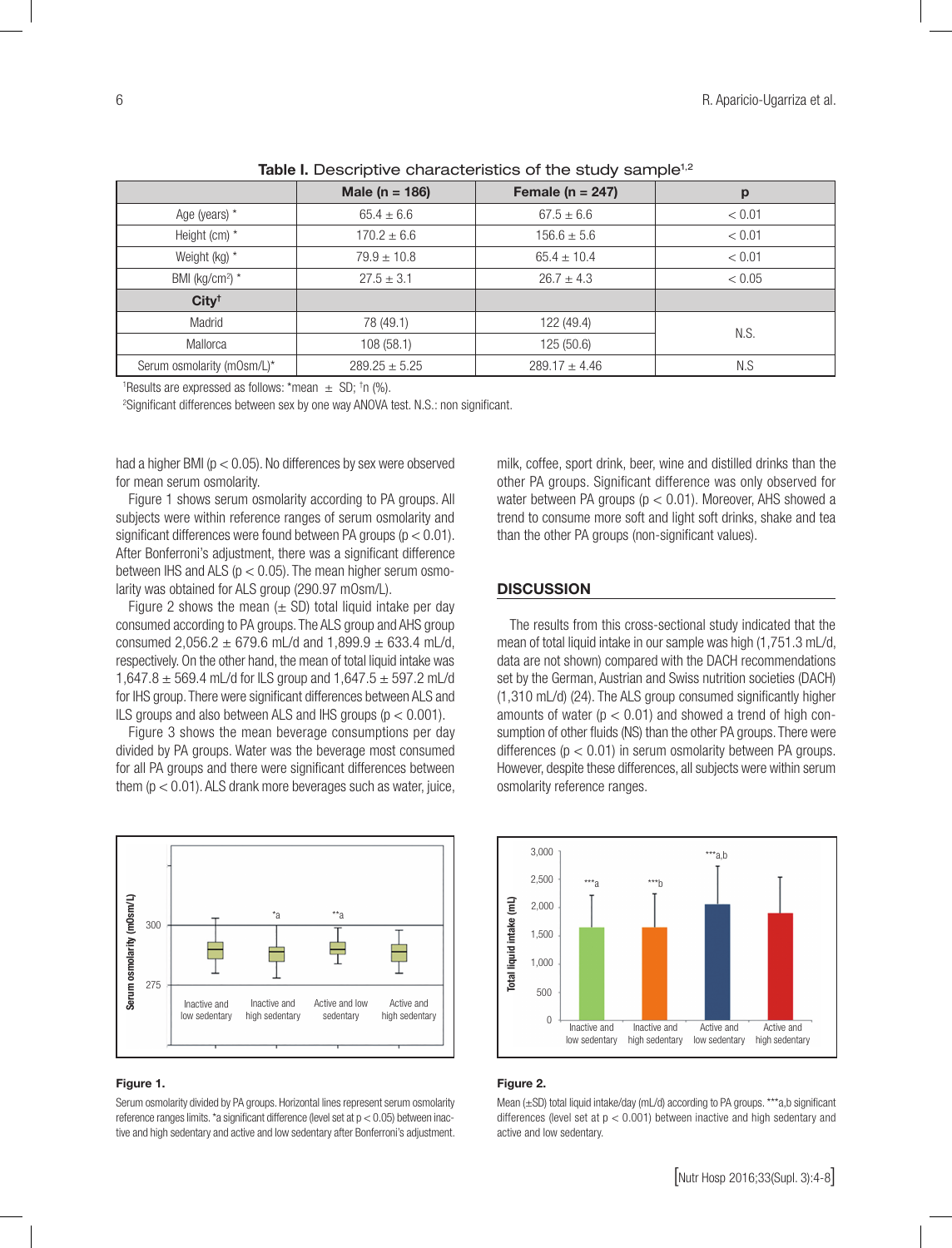|                             | Male ( $n = 186$ ) | Female ( $n = 247$ ) | p      |
|-----------------------------|--------------------|----------------------|--------|
| Age (years) *               | $65.4 \pm 6.6$     | $67.5 \pm 6.6$       | < 0.01 |
| Height (cm) *               | $170.2 \pm 6.6$    | $156.6 \pm 5.6$      | < 0.01 |
| Weight (kg) *               | $79.9 \pm 10.8$    | $65.4 \pm 10.4$      | < 0.01 |
| BMI (kg/cm <sup>2</sup> ) * | $27.5 \pm 3.1$     | $26.7 \pm 4.3$       | < 0.05 |
| City <sup>†</sup>           |                    |                      |        |
| Madrid                      | 78 (49.1)          | 122 (49.4)           | N.S.   |
| Mallorca                    | 108(58.1)          | 125 (50.6)           |        |
| Serum osmolarity (mOsm/L)*  | $289.25 \pm 5.25$  | $289.17 \pm 4.46$    | N.S    |

Table I. Descriptive characteristics of the study sample<sup>1,2</sup>

<sup>1</sup>Results are expressed as follows: \*mean  $\pm$  SD; <sup>†</sup>n (%).

2 Significant differences between sex by one way ANOVA test. N.S.: non significant.

had a higher BMI ( $p < 0.05$ ). No differences by sex were observed for mean serum osmolarity.

Figure 1 shows serum osmolarity according to PA groups. All subjects were within reference ranges of serum osmolarity and significant differences were found between PA groups (p < 0.01). After Bonferroni's adjustment, there was a significant difference between IHS and ALS ( $p < 0.05$ ). The mean higher serum osmolarity was obtained for ALS group (290.97 mOsm/L).

Figure 2 shows the mean  $(\pm$  SD) total liquid intake per day consumed according to PA groups. The ALS group and AHS group consumed 2,056.2  $\pm$  679.6 mL/d and 1,899.9  $\pm$  633.4 mL/d, respectively. On the other hand, the mean of total liquid intake was 1,647.8  $\pm$  569.4 mL/d for ILS group and 1,647.5  $\pm$  597.2 mL/d for IHS group. There were significant differences between ALS and ILS groups and also between ALS and IHS groups ( $p < 0.001$ ).

Figure 3 shows the mean beverage consumptions per day divided by PA groups. Water was the beverage most consumed for all PA groups and there were significant differences between them  $(p < 0.01)$ . ALS drank more beverages such as water, juice,



#### Figure 1.

Serum osmolarity divided by PA groups. Horizontal lines represent serum osmolarity reference ranges limits. \*a significant difference (level set at p < 0.05) between inactive and high sedentary and active and low sedentary after Bonferroni's adjustment.

milk, coffee, sport drink, beer, wine and distilled drinks than the other PA groups. Significant difference was only observed for water between PA groups ( $p < 0.01$ ). Moreover, AHS showed a trend to consume more soft and light soft drinks, shake and tea than the other PA groups (non-significant values).

#### **DISCUSSION**

The results from this cross-sectional study indicated that the mean of total liquid intake in our sample was high (1,751.3 mL/d, data are not shown) compared with the DACH recommendations set by the German, Austrian and Swiss nutrition societies (DACH) (1,310 mL/d) (24). The ALS group consumed significantly higher amounts of water ( $p < 0.01$ ) and showed a trend of high consumption of other fluids (NS) than the other PA groups. There were differences ( $p < 0.01$ ) in serum osmolarity between PA groups. However, despite these differences, all subjects were within serum osmolarity reference ranges.



### Figure 2.

Mean ( $\pm$ SD) total liquid intake/day (mL/d) according to PA groups. \*\*\*a,b significant differences (level set at  $p < 0.001$ ) between inactive and high sedentary and active and low sedentary.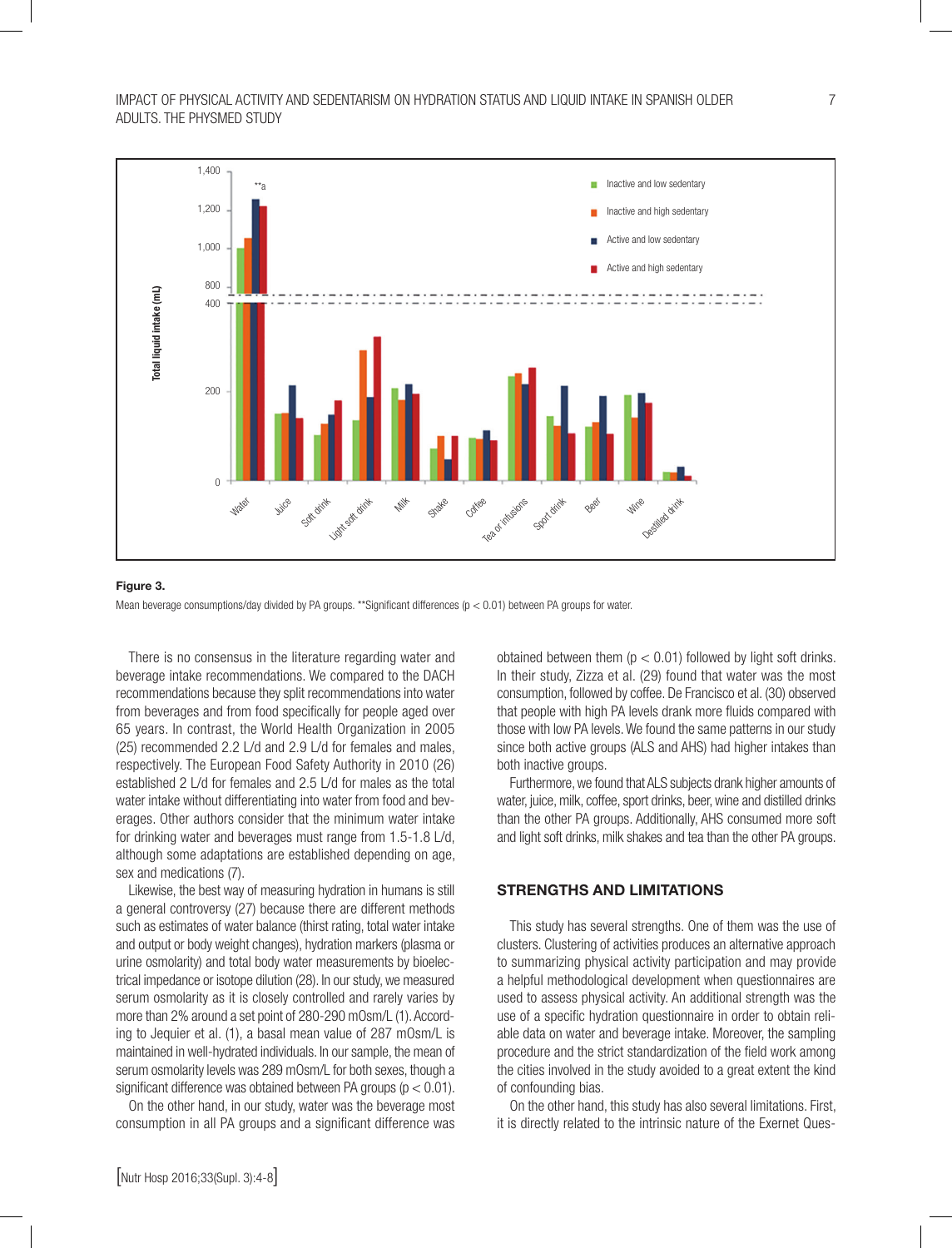

#### Figure 3.

Mean beverage consumptions/day divided by PA groups. \*\*Significant differences ( $p < 0.01$ ) between PA groups for water.

There is no consensus in the literature regarding water and beverage intake recommendations. We compared to the DACH recommendations because they split recommendations into water from beverages and from food specifically for people aged over 65 years. In contrast, the World Health Organization in 2005 (25) recommended 2.2 L/d and 2.9 L/d for females and males, respectively. The European Food Safety Authority in 2010 (26) established 2 L/d for females and 2.5 L/d for males as the total water intake without differentiating into water from food and beverages. Other authors consider that the minimum water intake for drinking water and beverages must range from 1.5-1.8 L/d, although some adaptations are established depending on age, sex and medications (7).

Likewise, the best way of measuring hydration in humans is still a general controversy (27) because there are different methods such as estimates of water balance (thirst rating, total water intake and output or body weight changes), hydration markers (plasma or urine osmolarity) and total body water measurements by bioelectrical impedance or isotope dilution (28). In our study, we measured serum osmolarity as it is closely controlled and rarely varies by more than 2% around a set point of 280-290 mOsm/L (1). According to Jequier et al. (1), a basal mean value of 287 mOsm/L is maintained in well-hydrated individuals. In our sample, the mean of serum osmolarity levels was 289 mOsm/L for both sexes, though a significant difference was obtained between PA groups ( $p < 0.01$ ).

On the other hand, in our study, water was the beverage most consumption in all PA groups and a significant difference was obtained between them ( $p < 0.01$ ) followed by light soft drinks. In their study, Zizza et al. (29) found that water was the most consumption, followed by coffee. De Francisco et al. (30) observed that people with high PA levels drank more fluids compared with those with low PA levels. We found the same patterns in our study since both active groups (ALS and AHS) had higher intakes than both inactive groups.

Furthermore, we found that ALS subjects drank higher amounts of water, juice, milk, coffee, sport drinks, beer, wine and distilled drinks than the other PA groups. Additionally, AHS consumed more soft and light soft drinks, milk shakes and tea than the other PA groups.

## STRENGTHS AND LIMITATIONS

This study has several strengths. One of them was the use of clusters. Clustering of activities produces an alternative approach to summarizing physical activity participation and may provide a helpful methodological development when questionnaires are used to assess physical activity. An additional strength was the use of a specific hydration questionnaire in order to obtain reliable data on water and beverage intake. Moreover, the sampling procedure and the strict standardization of the field work among the cities involved in the study avoided to a great extent the kind of confounding bias.

On the other hand, this study has also several limitations. First, it is directly related to the intrinsic nature of the Exernet Ques